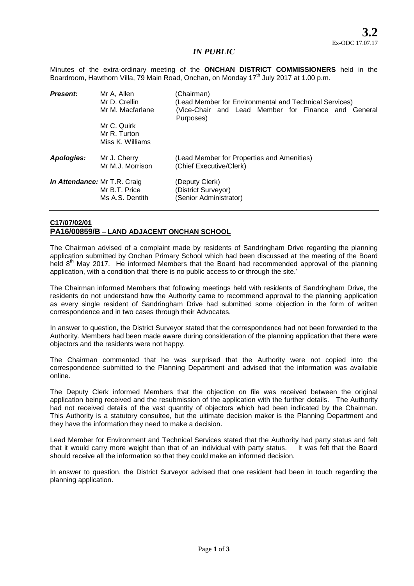## *IN PUBLIC*

Minutes of the extra-ordinary meeting of the **ONCHAN DISTRICT COMMISSIONERS** held in the Boardroom, Hawthorn Villa, 79 Main Road, Onchan, on Monday 17<sup>th</sup> July 2017 at 1.00 p.m.

| <b>Present:</b>              | Mr A, Allen<br>Mr D. Crellin<br>Mr M. Macfarlane | (Chairman)<br>(Lead Member for Environmental and Technical Services)<br>(Vice-Chair and Lead Member for Finance and General<br>Purposes) |
|------------------------------|--------------------------------------------------|------------------------------------------------------------------------------------------------------------------------------------------|
|                              | Mr C. Quirk<br>Mr R. Turton<br>Miss K. Williams  |                                                                                                                                          |
| Apologies:                   | Mr J. Cherry<br>Mr M.J. Morrison                 | (Lead Member for Properties and Amenities)<br>(Chief Executive/Clerk)                                                                    |
| In Attendance: Mr T.R. Craig | Mr B.T. Price<br>Ms A.S. Dentith                 | (Deputy Clerk)<br>(District Surveyor)<br>(Senior Administrator)                                                                          |

## **C17/07/02/01 PA16/00859/B – LAND ADJACENT ONCHAN SCHOOL**

The Chairman advised of a complaint made by residents of Sandringham Drive regarding the planning application submitted by Onchan Primary School which had been discussed at the meeting of the Board held  $8<sup>th</sup>$  May 2017. He informed Members that the Board had recommended approval of the planning application, with a condition that 'there is no public access to or through the site.'

The Chairman informed Members that following meetings held with residents of Sandringham Drive, the residents do not understand how the Authority came to recommend approval to the planning application as every single resident of Sandringham Drive had submitted some objection in the form of written correspondence and in two cases through their Advocates.

In answer to question, the District Surveyor stated that the correspondence had not been forwarded to the Authority. Members had been made aware during consideration of the planning application that there were objectors and the residents were not happy.

The Chairman commented that he was surprised that the Authority were not copied into the correspondence submitted to the Planning Department and advised that the information was available online.

The Deputy Clerk informed Members that the objection on file was received between the original application being received and the resubmission of the application with the further details. The Authority had not received details of the vast quantity of objectors which had been indicated by the Chairman. This Authority is a statutory consultee, but the ultimate decision maker is the Planning Department and they have the information they need to make a decision.

Lead Member for Environment and Technical Services stated that the Authority had party status and felt that it would carry more weight than that of an individual with party status. It was felt that the Board should receive all the information so that they could make an informed decision.

In answer to question, the District Surveyor advised that one resident had been in touch regarding the planning application.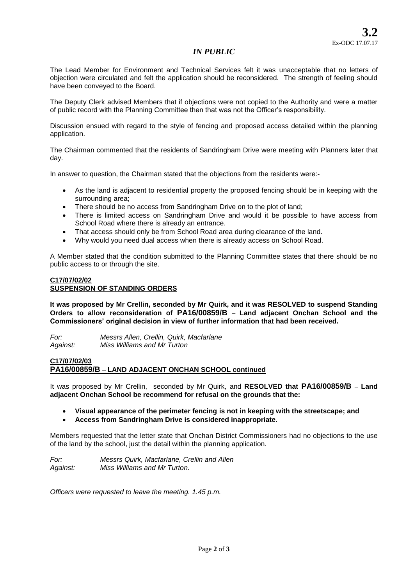## *IN PUBLIC*

The Lead Member for Environment and Technical Services felt it was unacceptable that no letters of objection were circulated and felt the application should be reconsidered. The strength of feeling should have been conveyed to the Board.

The Deputy Clerk advised Members that if objections were not copied to the Authority and were a matter of public record with the Planning Committee then that was not the Officer's responsibility.

Discussion ensued with regard to the style of fencing and proposed access detailed within the planning application.

The Chairman commented that the residents of Sandringham Drive were meeting with Planners later that day.

In answer to question, the Chairman stated that the objections from the residents were:-

- As the land is adjacent to residential property the proposed fencing should be in keeping with the surrounding area;
- There should be no access from Sandringham Drive on to the plot of land;
- There is limited access on Sandringham Drive and would it be possible to have access from School Road where there is already an entrance.
- That access should only be from School Road area during clearance of the land.
- Why would you need dual access when there is already access on School Road.

A Member stated that the condition submitted to the Planning Committee states that there should be no public access to or through the site.

#### **C17/07/02/02 SUSPENSION OF STANDING ORDERS**

**It was proposed by Mr Crellin, seconded by Mr Quirk, and it was RESOLVED to suspend Standing Orders to allow reconsideration of PA16/00859/B – Land adjacent Onchan School and the Commissioners' original decision in view of further information that had been received.**

*For: Messrs Allen, Crellin, Quirk, Macfarlane Against: Miss Williams and Mr Turton* 

#### **C17/07/02/03 PA16/00859/B – LAND ADJACENT ONCHAN SCHOOL continued**

It was proposed by Mr Crellin, seconded by Mr Quirk, and **RESOLVED that PA16/00859/B – Land adjacent Onchan School be recommend for refusal on the grounds that the:** 

- **Visual appearance of the perimeter fencing is not in keeping with the streetscape; and**
- **Access from Sandringham Drive is considered inappropriate.**

Members requested that the letter state that Onchan District Commissioners had no objections to the use of the land by the school, just the detail within the planning application.

*For: Messrs Quirk, Macfarlane, Crellin and Allen Against: Miss Williams and Mr Turton.* 

*Officers were requested to leave the meeting. 1.45 p.m.*